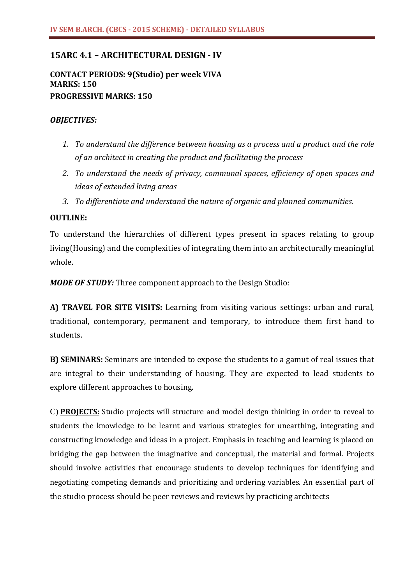# **15ARC 4.1 – ARCHITECTURAL DESIGN - IV**

**CONTACT PERIODS: 9(Studio) per week VIVA MARKS: 150 PROGRESSIVE MARKS: 150**

## *OBJECTIVES:*

- *1. To understand the difference between housing as a process and a product and the role of an architect in creating the product and facilitating the process*
- *2. To understand the needs of privacy, communal spaces, efficiency of open spaces and ideas of extended living areas*
- *3. To differentiate and understand the nature of organic and planned communities.*

### **OUTLINE:**

To understand the hierarchies of different types present in spaces relating to group living(Housing) and the complexities of integrating them into an architecturally meaningful whole.

*MODE OF STUDY:* Three component approach to the Design Studio:

**A) TRAVEL FOR SITE VISITS:** Learning from visiting various settings: urban and rural, traditional, contemporary, permanent and temporary, to introduce them first hand to students.

**B) SEMINARS:** Seminars are intended to expose the students to a gamut of real issues that are integral to their understanding of housing. They are expected to lead students to explore different approaches to housing.

C) **PROJECTS:** Studio projects will structure and model design thinking in order to reveal to students the knowledge to be learnt and various strategies for unearthing, integrating and constructing knowledge and ideas in a project. Emphasis in teaching and learning is placed on bridging the gap between the imaginative and conceptual, the material and formal. Projects should involve activities that encourage students to develop techniques for identifying and negotiating competing demands and prioritizing and ordering variables. An essential part of the studio process should be peer reviews and reviews by practicing architects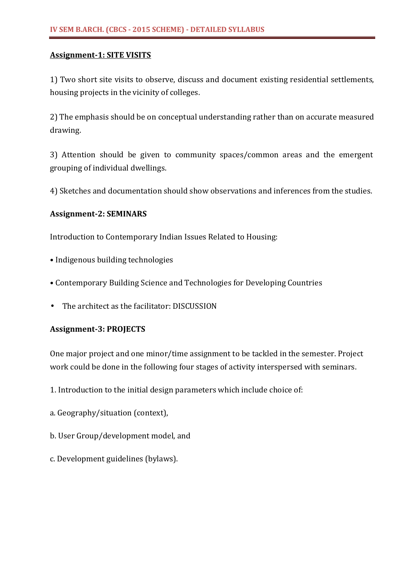## **Assignment-1: SITE VISITS**

1) Two short site visits to observe, discuss and document existing residential settlements, housing projects in the vicinity of colleges.

2) The emphasis should be on conceptual understanding rather than on accurate measured drawing.

3) Attention should be given to community spaces/common areas and the emergent grouping of individual dwellings.

4) Sketches and documentation should show observations and inferences from the studies.

## **Assignment-2: SEMINARS**

Introduction to Contemporary Indian Issues Related to Housing:

- Indigenous building technologies
- Contemporary Building Science and Technologies for Developing Countries
- The architect as the facilitator: DISCUSSION

## **Assignment-3: PROJECTS**

One major project and one minor/time assignment to be tackled in the semester. Project work could be done in the following four stages of activity interspersed with seminars.

- 1. Introduction to the initial design parameters which include choice of:
- a. Geography/situation (context),
- b. User Group/development model, and
- c. Development guidelines (bylaws).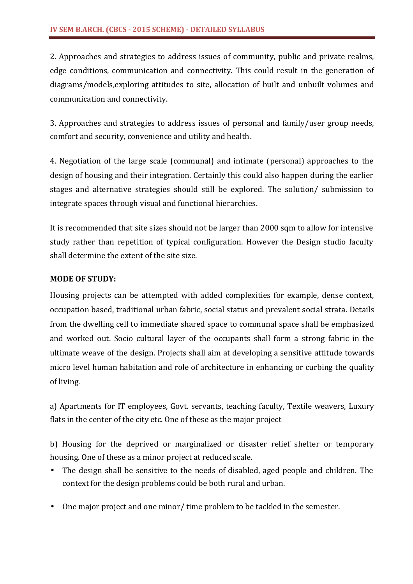2. Approaches and strategies to address issues of community, public and private realms, edge conditions, communication and connectivity. This could result in the generation of diagrams/models,exploring attitudes to site, allocation of built and unbuilt volumes and communication and connectivity.

3. Approaches and strategies to address issues of personal and family/user group needs, comfort and security, convenience and utility and health.

4. Negotiation of the large scale (communal) and intimate (personal) approaches to the design of housing and their integration. Certainly this could also happen during the earlier stages and alternative strategies should still be explored. The solution/ submission to integrate spaces through visual and functional hierarchies.

It is recommended that site sizes should not be larger than 2000 sqm to allow for intensive study rather than repetition of typical configuration. However the Design studio faculty shall determine the extent of the site size.

# **MODE OF STUDY:**

Housing projects can be attempted with added complexities for example, dense context, occupation based, traditional urban fabric, social status and prevalent social strata. Details from the dwelling cell to immediate shared space to communal space shall be emphasized and worked out. Socio cultural layer of the occupants shall form a strong fabric in the ultimate weave of the design. Projects shall aim at developing a sensitive attitude towards micro level human habitation and role of architecture in enhancing or curbing the quality of living.

a) Apartments for IT employees, Govt. servants, teaching faculty, Textile weavers, Luxury flats in the center of the city etc. One of these as the major project

b) Housing for the deprived or marginalized or disaster relief shelter or temporary housing. One of these as a minor project at reduced scale.

- The design shall be sensitive to the needs of disabled, aged people and children. The context for the design problems could be both rural and urban.
- One major project and one minor/ time problem to be tackled in the semester.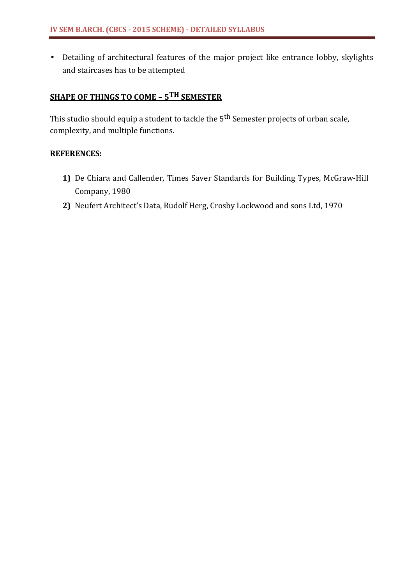• Detailing of architectural features of the major project like entrance lobby, skylights and staircases has to be attempted

# **SHAPE OF THINGS TO COME – 5TH SEMESTER**

This studio should equip a student to tackle the 5<sup>th</sup> Semester projects of urban scale, complexity, and multiple functions.

- **1)** De Chiara and Callender, Times Saver Standards for Building Types, McGraw-Hill Company, 1980
- **2)** Neufert Architect's Data, Rudolf Herg, Crosby Lockwood and sons Ltd, 1970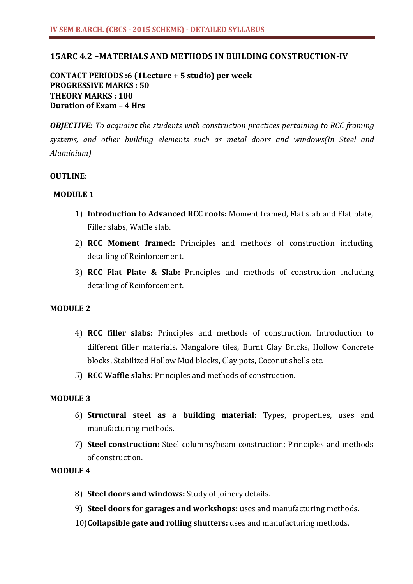## **15ARC 4.2 –MATERIALS AND METHODS IN BUILDING CONSTRUCTION-IV**

**CONTACT PERIODS :6 (1Lecture + 5 studio) per week PROGRESSIVE MARKS : 50 THEORY MARKS : 100 Duration of Exam – 4 Hrs**

*OBJECTIVE: To acquaint the students with construction practices pertaining to RCC framing systems, and other building elements such as metal doors and windows(In Steel and Aluminium)*

### **OUTLINE:**

### **MODULE 1**

- 1) **Introduction to Advanced RCC roofs:** Moment framed, Flat slab and Flat plate, Filler slabs, Waffle slab.
- 2) **RCC Moment framed:** Principles and methods of construction including detailing of Reinforcement.
- 3) **RCC Flat Plate & Slab:** Principles and methods of construction including detailing of Reinforcement.

## **MODULE 2**

- 4) **RCC filler slabs**: Principles and methods of construction. Introduction to different filler materials, Mangalore tiles, Burnt Clay Bricks, Hollow Concrete blocks, Stabilized Hollow Mud blocks, Clay pots, Coconut shells etc.
- 5) **RCC Waffle slabs**: Principles and methods of construction.

## **MODULE 3**

- 6) **Structural steel as a building material:** Types, properties, uses and manufacturing methods.
- 7) **Steel construction:** Steel columns/beam construction; Principles and methods of construction.

### **MODULE 4**

- 8) **Steel doors and windows:** Study of joinery details.
- 9) **Steel doors for garages and workshops:** uses and manufacturing methods.
- 10)**Collapsible gate and rolling shutters:** uses and manufacturing methods.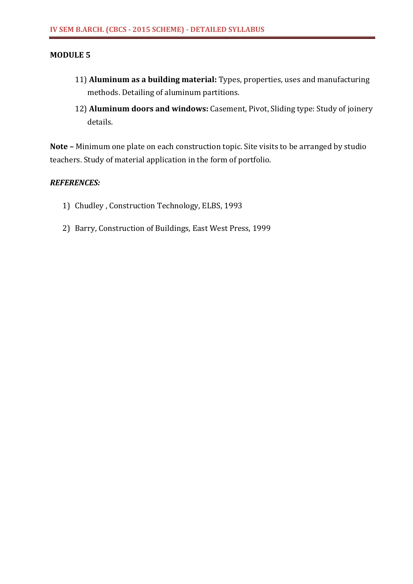### **MODULE 5**

- 11) **Aluminum as a building material:** Types, properties, uses and manufacturing methods. Detailing of aluminum partitions.
- 12) **Aluminum doors and windows:** Casement, Pivot, Sliding type: Study of joinery details.

**Note –** Minimum one plate on each construction topic. Site visits to be arranged by studio teachers. Study of material application in the form of portfolio.

- 1) Chudley , Construction Technology, ELBS, 1993
- 2) Barry, Construction of Buildings, East West Press, 1999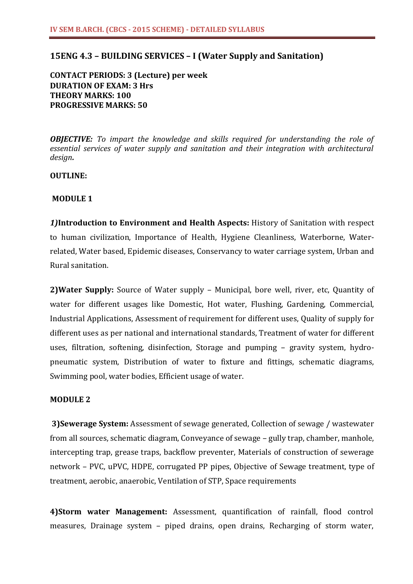# **15ENG 4.3 – BUILDING SERVICES – I (Water Supply and Sanitation)**

**CONTACT PERIODS: 3 (Lecture) per week DURATION OF EXAM: 3 Hrs THEORY MARKS: 100 PROGRESSIVE MARKS: 50**

*OBJECTIVE: To impart the knowledge and skills required for understanding the role of essential services of water supply and sanitation and their integration with architectural design.*

### **OUTLINE:**

### **MODULE 1**

*1)***Introduction to Environment and Health Aspects:** History of Sanitation with respect to human civilization, Importance of Health, Hygiene Cleanliness, Waterborne, Waterrelated, Water based, Epidemic diseases, Conservancy to water carriage system, Urban and Rural sanitation.

**2)Water Supply:** Source of Water supply – Municipal, bore well, river, etc, Quantity of water for different usages like Domestic, Hot water, Flushing, Gardening, Commercial, Industrial Applications, Assessment of requirement for different uses, Quality of supply for different uses as per national and international standards, Treatment of water for different uses, filtration, softening, disinfection, Storage and pumping – gravity system, hydropneumatic system, Distribution of water to fixture and fittings, schematic diagrams, Swimming pool, water bodies, Efficient usage of water.

### **MODULE 2**

**3)Sewerage System:** Assessment of sewage generated, Collection of sewage / wastewater from all sources, schematic diagram, Conveyance of sewage – gully trap, chamber, manhole, intercepting trap, grease traps, backflow preventer, Materials of construction of sewerage network – PVC, uPVC, HDPE, corrugated PP pipes, Objective of Sewage treatment, type of treatment, aerobic, anaerobic, Ventilation of STP, Space requirements

**4)Storm water Management:** Assessment, quantification of rainfall, flood control measures, Drainage system – piped drains, open drains, Recharging of storm water,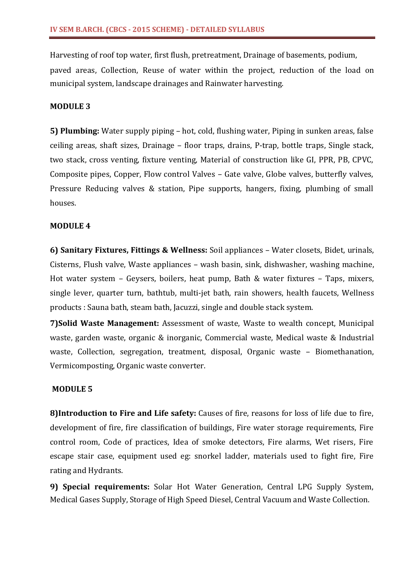Harvesting of roof top water, first flush, pretreatment, Drainage of basements, podium,

paved areas, Collection, Reuse of water within the project, reduction of the load on municipal system, landscape drainages and Rainwater harvesting.

### **MODULE 3**

**5) Plumbing:** Water supply piping – hot, cold, flushing water, Piping in sunken areas, false ceiling areas, shaft sizes, Drainage – floor traps, drains, P-trap, bottle traps, Single stack, two stack, cross venting, fixture venting, Material of construction like GI, PPR, PB, CPVC, Composite pipes, Copper, Flow control Valves – Gate valve, Globe valves, butterfly valves, Pressure Reducing valves & station, Pipe supports, hangers, fixing, plumbing of small houses.

### **MODULE 4**

**6) Sanitary Fixtures, Fittings & Wellness:** Soil appliances – Water closets, Bidet, urinals, Cisterns, Flush valve, Waste appliances – wash basin, sink, dishwasher, washing machine, Hot water system – Geysers, boilers, heat pump, Bath & water fixtures – Taps, mixers, single lever, quarter turn, bathtub, multi-jet bath, rain showers, health faucets, Wellness products : Sauna bath, steam bath, Jacuzzi, single and double stack system.

**7)Solid Waste Management:** Assessment of waste, Waste to wealth concept, Municipal waste, garden waste, organic & inorganic, Commercial waste, Medical waste & Industrial waste, Collection, segregation, treatment, disposal, Organic waste – Biomethanation, Vermicomposting, Organic waste converter.

## **MODULE 5**

**8)Introduction to Fire and Life safety:** Causes of fire, reasons for loss of life due to fire, development of fire, fire classification of buildings, Fire water storage requirements, Fire control room, Code of practices, Idea of smoke detectors, Fire alarms, Wet risers, Fire escape stair case, equipment used eg: snorkel ladder, materials used to fight fire, Fire rating and Hydrants.

**9) Special requirements:** Solar Hot Water Generation, Central LPG Supply System, Medical Gases Supply, Storage of High Speed Diesel, Central Vacuum and Waste Collection.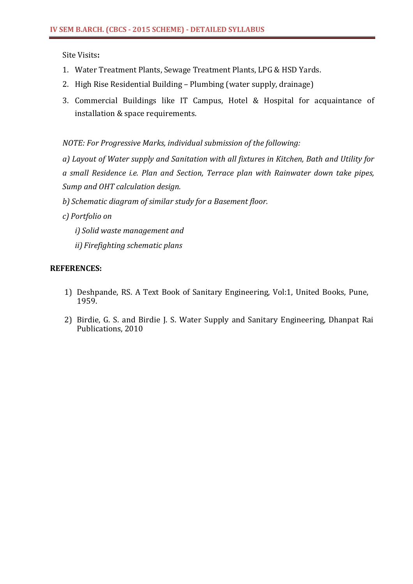Site Visits**:**

- 1. Water Treatment Plants, Sewage Treatment Plants, LPG & HSD Yards.
- 2. High Rise Residential Building Plumbing (water supply, drainage)
- 3. Commercial Buildings like IT Campus, Hotel & Hospital for acquaintance of installation & space requirements.

*NOTE: For Progressive Marks, individual submission of the following:*

*a) Layout of Water supply and Sanitation with all fixtures in Kitchen, Bath and Utility for a small Residence i.e. Plan and Section, Terrace plan with Rainwater down take pipes, Sump and OHT calculation design.* 

*b) Schematic diagram of similar study for a Basement floor.* 

- *c) Portfolio on* 
	- *i) Solid waste management and*
	- *ii) Firefighting schematic plans*

- 1) Deshpande, RS. A Text Book of Sanitary Engineering, Vol:1, United Books, Pune, 1959.
- 2) Birdie, G. S. and Birdie J. S. Water Supply and Sanitary Engineering, Dhanpat Rai Publications, 2010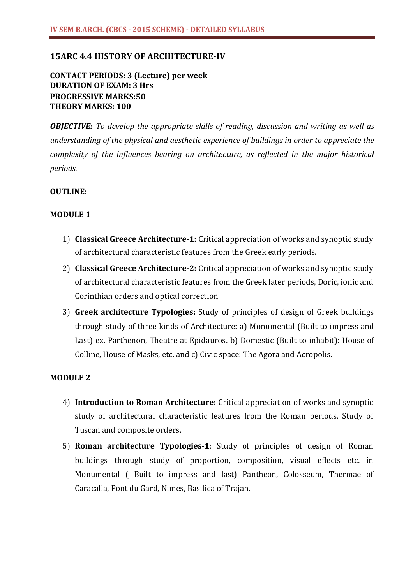## **15ARC 4.4 HISTORY OF ARCHITECTURE-IV**

# **CONTACT PERIODS: 3 (Lecture) per week DURATION OF EXAM: 3 Hrs PROGRESSIVE MARKS:50 THEORY MARKS: 100**

*OBJECTIVE: To develop the appropriate skills of reading, discussion and writing as well as understanding of the physical and aesthetic experience of buildings in order to appreciate the complexity of the influences bearing on architecture, as reflected in the major historical periods.*

## **OUTLINE:**

### **MODULE 1**

- 1) **Classical Greece Architecture-1:** Critical appreciation of works and synoptic study of architectural characteristic features from the Greek early periods.
- 2) **Classical Greece Architecture-2:** Critical appreciation of works and synoptic study of architectural characteristic features from the Greek later periods, Doric, ionic and Corinthian orders and optical correction
- 3) **Greek architecture Typologies:** Study of principles of design of Greek buildings through study of three kinds of Architecture: a) Monumental (Built to impress and Last) ex. Parthenon, Theatre at Epidauros. b) Domestic (Built to inhabit): House of Colline, House of Masks, etc. and c) Civic space: The Agora and Acropolis.

### **MODULE 2**

- 4) **Introduction to Roman Architecture:** Critical appreciation of works and synoptic study of architectural characteristic features from the Roman periods. Study of Tuscan and composite orders.
- 5) **Roman architecture Typologies-1**: Study of principles of design of Roman buildings through study of proportion, composition, visual effects etc. in Monumental ( Built to impress and last) Pantheon, Colosseum, Thermae of Caracalla, Pont du Gard, Nimes, Basilica of Trajan.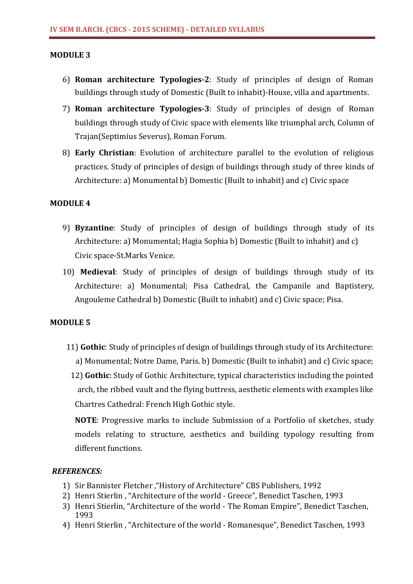### **MODULE 3**

- 6) **Roman architecture Typologies-2**: Study of principles of design of Roman buildings through study of Domestic (Built to inhabit)-House, villa and apartments.
- 7) **Roman architecture Typologies-3**: Study of principles of design of Roman buildings through study of Civic space with elements like triumphal arch, Column of Trajan(Septimius Severus), Roman Forum.
- 8) **Early Christian**: Evolution of architecture parallel to the evolution of religious practices. Study of principles of design of buildings through study of three kinds of Architecture: a) Monumental b) Domestic (Built to inhabit) and c) Civic space

### **MODULE 4**

- 9) **Byzantine**: Study of principles of design of buildings through study of its Architecture: a) Monumental; Hagia Sophia b) Domestic (Built to inhabit) and c) Civic space-St.Marks Venice.
- 10) **Medieval**: Study of principles of design of buildings through study of its Architecture: a) Monumental; Pisa Cathedral, the Campanile and Baptistery, Angouleme Cathedral b) Domestic (Built to inhabit) and c) Civic space; Pisa.

### **MODULE 5**

- 11) **Gothic**: Study of principles of design of buildings through study of its Architecture: a) Monumental; Notre Dame, Paris. b) Domestic (Built to inhabit) and c) Civic space;
	- 12) **Gothic**: Study of Gothic Architecture, typical characteristics including the pointed arch, the ribbed vault and the flying buttress, aesthetic elements with examples like Chartres Cathedral: French High Gothic style.

**NOTE**: Progressive marks to include Submission of a Portfolio of sketches, study models relating to structure, aesthetics and building typology resulting from different functions.

- 1) Sir Bannister Fletcher ,"History of Architecture" CBS Publishers, 1992
- 2) Henri Stierlin , "Architecture of the world Greece", Benedict Taschen, 1993
- 3) Henri Stierlin, "Architecture of the world The Roman Empire", Benedict Taschen, 1993
- 4) Henri Stierlin , "Architecture of the world Romanesque", Benedict Taschen, 1993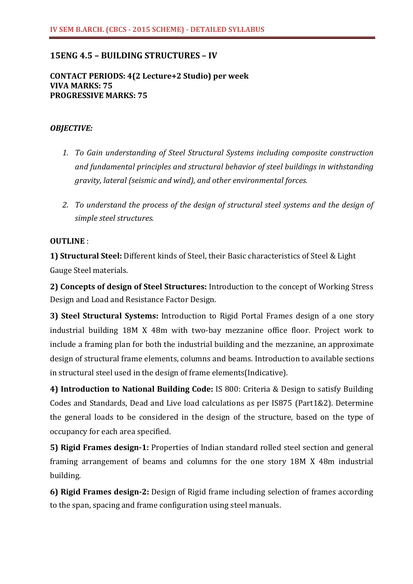# **15ENG 4.5 – BUILDING STRUCTURES – IV**

### **CONTACT PERIODS: 4(2 Lecture+2 Studio) per week VIVA MARKS: 75 PROGRESSIVE MARKS: 75**

### *OBJECTIVE:*

- *1. To Gain understanding of Steel Structural Systems including composite construction and fundamental principles and structural behavior of steel buildings in withstanding gravity, lateral (seismic and wind), and other environmental forces.*
- *2. To understand the process of the design of structural steel systems and the design of simple steel structures.*

### **OUTLINE** :

**1) Structural Steel:** Different kinds of Steel, their Basic characteristics of Steel & Light Gauge Steel materials.

**2) Concepts of design of Steel Structures:** Introduction to the concept of Working Stress Design and Load and Resistance Factor Design.

**3) Steel Structural Systems:** Introduction to Rigid Portal Frames design of a one story industrial building 18M X 48m with two-bay mezzanine office floor. Project work to include a framing plan for both the industrial building and the mezzanine, an approximate design of structural frame elements, columns and beams. Introduction to available sections in structural steel used in the design of frame elements(Indicative).

**4) Introduction to National Building Code:** IS 800: Criteria & Design to satisfy Building Codes and Standards, Dead and Live load calculations as per IS875 (Part1&2). Determine the general loads to be considered in the design of the structure, based on the type of occupancy for each area specified.

**5) Rigid Frames design-1:** Properties of Indian standard rolled steel section and general framing arrangement of beams and columns for the one story 18M X 48m industrial building.

**6) Rigid Frames design-2:** Design of Rigid frame including selection of frames according to the span, spacing and frame configuration using steel manuals.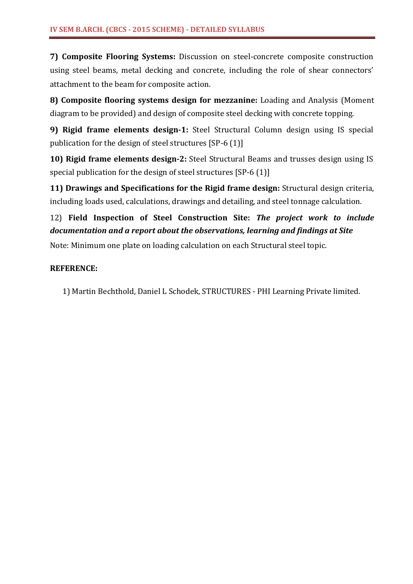**7) Composite Flooring Systems:** Discussion on steel-concrete composite construction using steel beams, metal decking and concrete, including the role of shear connectors' attachment to the beam for composite action.

**8) Composite flooring systems design for mezzanine:** Loading and Analysis (Moment diagram to be provided) and design of composite steel decking with concrete topping.

**9) Rigid frame elements design-1:** Steel Structural Column design using IS special publication for the design of steel structures [SP-6 (1)]

**10) Rigid frame elements design-2:** Steel Structural Beams and trusses design using IS special publication for the design of steel structures [SP-6 (1)]

**11) Drawings and Specifications for the Rigid frame design:** Structural design criteria, including loads used, calculations, drawings and detailing, and steel tonnage calculation.

# 12) **Field Inspection of Steel Construction Site:** *The project work to include documentation and a report about the observations, learning and findings at Site*

Note: Minimum one plate on loading calculation on each Structural steel topic.

# **REFERENCE:**

1) Martin Bechthold, Daniel L Schodek, STRUCTURES - PHI Learning Private limited.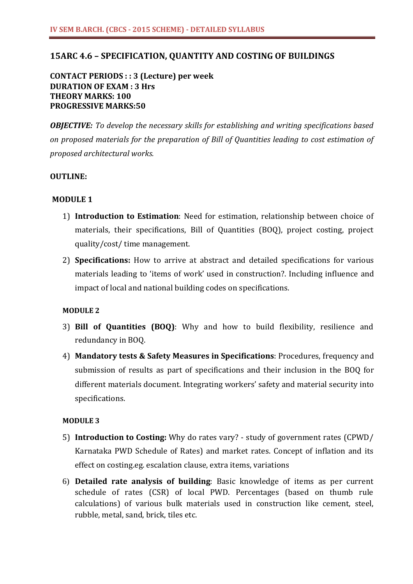## **15ARC 4.6 – SPECIFICATION, QUANTITY AND COSTING OF BUILDINGS**

**CONTACT PERIODS : : 3 (Lecture) per week DURATION OF EXAM : 3 Hrs THEORY MARKS: 100 PROGRESSIVE MARKS:50**

*OBJECTIVE: To develop the necessary skills for establishing and writing specifications based on proposed materials for the preparation of Bill of Quantities leading to cost estimation of proposed architectural works.*

### **OUTLINE:**

### **MODULE 1**

- 1) **Introduction to Estimation**: Need for estimation, relationship between choice of materials, their specifications, Bill of Quantities (BOQ), project costing, project quality/cost/ time management.
- 2) **Specifications:** How to arrive at abstract and detailed specifications for various materials leading to 'items of work' used in construction?. Including influence and impact of local and national building codes on specifications.

### **MODULE 2**

- 3) **Bill of Quantities (BOQ)**: Why and how to build flexibility, resilience and redundancy in BOQ.
- 4) **Mandatory tests & Safety Measures in Specifications**: Procedures, frequency and submission of results as part of specifications and their inclusion in the BOQ for different materials document. Integrating workers' safety and material security into specifications.

### **MODULE 3**

- 5) **Introduction to Costing:** Why do rates vary? study of government rates (CPWD/ Karnataka PWD Schedule of Rates) and market rates. Concept of inflation and its effect on costing.eg. escalation clause, extra items, variations
- 6) **Detailed rate analysis of building**: Basic knowledge of items as per current schedule of rates (CSR) of local PWD. Percentages (based on thumb rule calculations) of various bulk materials used in construction like cement, steel, rubble, metal, sand, brick, tiles etc.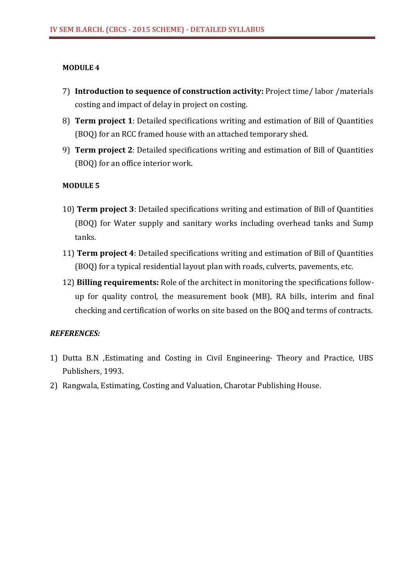### **MODULE 4**

- 7) **Introduction to sequence of construction activity:** Project time/ labor /materials costing and impact of delay in project on costing.
- 8) **Term project 1**: Detailed specifications writing and estimation of Bill of Quantities (BOQ) for an RCC framed house with an attached temporary shed.
- 9) **Term project 2**: Detailed specifications writing and estimation of Bill of Quantities (BOQ) for an office interior work.

## **MODULE 5**

- 10) **Term project 3**: Detailed specifications writing and estimation of Bill of Quantities (BOQ) for Water supply and sanitary works including overhead tanks and Sump tanks.
- 11) **Term project 4**: Detailed specifications writing and estimation of Bill of Quantities (BOQ) for a typical residential layout plan with roads, culverts, pavements, etc.
- 12) **Billing requirements:** Role of the architect in monitoring the specifications followup for quality control, the measurement book (MB), RA bills, interim and final checking and certification of works on site based on the BOQ and terms of contracts.

- 1) Dutta B.N ,Estimating and Costing in Civil Engineering- Theory and Practice, UBS Publishers, 1993.
- 2) Rangwala, Estimating, Costing and Valuation, Charotar Publishing House.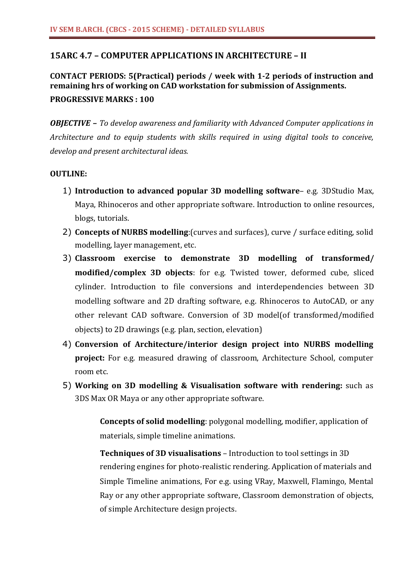# **15ARC 4.7 – COMPUTER APPLICATIONS IN ARCHITECTURE – II**

# **CONTACT PERIODS: 5(Practical) periods / week with 1-2 periods of instruction and remaining hrs of working on CAD workstation for submission of Assignments. PROGRESSIVE MARKS : 100**

*OBJECTIVE – To develop awareness and familiarity with Advanced Computer applications in Architecture and to equip students with skills required in using digital tools to conceive, develop and present architectural ideas.*

## **OUTLINE:**

- 1) **Introduction to advanced popular 3D modelling software** e.g. 3DStudio Max, Maya, Rhinoceros and other appropriate software. Introduction to online resources, blogs, tutorials.
- 2) **Concepts of NURBS modelling**:(curves and surfaces), curve / surface editing, solid modelling, layer management, etc.
- 3) **Classroom exercise to demonstrate 3D modelling of transformed/ modified/complex 3D objects**: for e.g. Twisted tower, deformed cube, sliced cylinder. Introduction to file conversions and interdependencies between 3D modelling software and 2D drafting software, e.g. Rhinoceros to AutoCAD, or any other relevant CAD software. Conversion of 3D model(of transformed/modified objects) to 2D drawings (e.g. plan, section, elevation)
- 4) **Conversion of Architecture/interior design project into NURBS modelling project:** For e.g. measured drawing of classroom, Architecture School, computer room etc.
- 5) **Working on 3D modelling & Visualisation software with rendering:** such as 3DS Max OR Maya or any other appropriate software.

**Concepts of solid modelling**: polygonal modelling, modifier, application of materials, simple timeline animations.

**Techniques of 3D visualisations** – Introduction to tool settings in 3D rendering engines for photo-realistic rendering. Application of materials and Simple Timeline animations, For e.g. using VRay, Maxwell, Flamingo, Mental Ray or any other appropriate software, Classroom demonstration of objects, of simple Architecture design projects.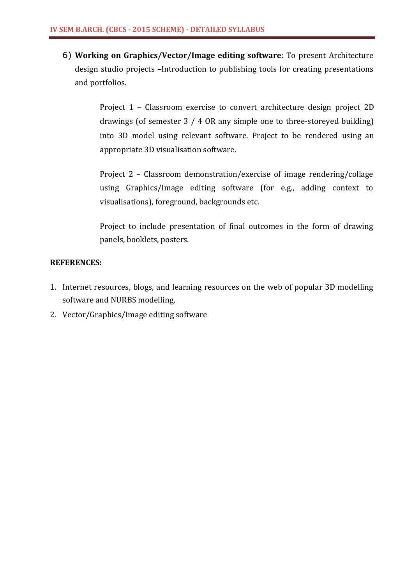6) **Working on Graphics/Vector/Image editing software**: To present Architecture design studio projects –Introduction to publishing tools for creating presentations and portfolios.

> Project 1 – Classroom exercise to convert architecture design project 2D drawings (of semester 3 / 4 OR any simple one to three-storeyed building) into 3D model using relevant software. Project to be rendered using an appropriate 3D visualisation software.

> Project 2 – Classroom demonstration/exercise of image rendering/collage using Graphics/Image editing software (for e.g., adding context to visualisations), foreground, backgrounds etc.

> Project to include presentation of final outcomes in the form of drawing panels, booklets, posters.

- 1. Internet resources, blogs, and learning resources on the web of popular 3D modelling software and NURBS modelling,
- 2. Vector/Graphics/Image editing software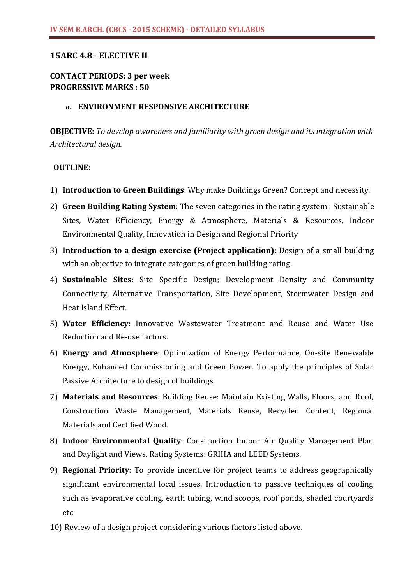# **15ARC 4.8– ELECTIVE II**

# **CONTACT PERIODS: 3 per week PROGRESSIVE MARKS : 50**

### **a. ENVIRONMENT RESPONSIVE ARCHITECTURE**

**OBJECTIVE:** *To develop awareness and familiarity with green design and its integration with Architectural design.*

## **OUTLINE:**

- 1) **Introduction to Green Buildings**: Why make Buildings Green? Concept and necessity.
- 2) **Green Building Rating System**: The seven categories in the rating system : Sustainable Sites, Water Efficiency, Energy & Atmosphere, Materials & Resources, Indoor Environmental Quality, Innovation in Design and Regional Priority
- 3) **Introduction to a design exercise (Project application):** Design of a small building with an objective to integrate categories of green building rating.
- 4) **Sustainable Sites**: Site Specific Design; Development Density and Community Connectivity, Alternative Transportation, Site Development, Stormwater Design and Heat Island Effect.
- 5) **Water Efficiency:** Innovative Wastewater Treatment and Reuse and Water Use Reduction and Re-use factors.
- 6) **Energy and Atmosphere**: Optimization of Energy Performance, On-site Renewable Energy, Enhanced Commissioning and Green Power. To apply the principles of Solar Passive Architecture to design of buildings.
- 7) **Materials and Resources**: Building Reuse: Maintain Existing Walls, Floors, and Roof, Construction Waste Management, Materials Reuse, Recycled Content, Regional Materials and Certified Wood.
- 8) **Indoor Environmental Quality**: Construction Indoor Air Quality Management Plan and Daylight and Views. Rating Systems: GRIHA and LEED Systems.
- 9) **Regional Priority**: To provide incentive for project teams to address geographically significant environmental local issues. Introduction to passive techniques of cooling such as evaporative cooling, earth tubing, wind scoops, roof ponds, shaded courtyards etc
- 10) Review of a design project considering various factors listed above.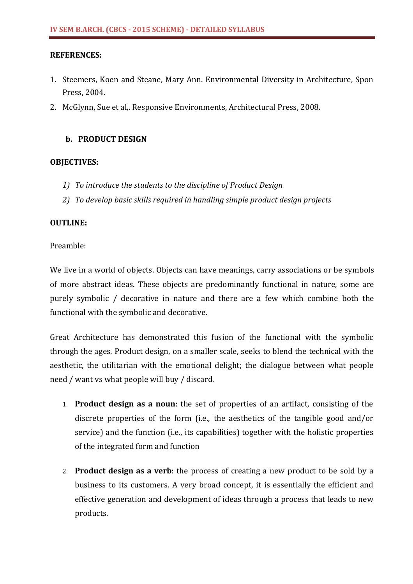## **REFERENCES:**

- 1. Steemers, Koen and Steane, Mary Ann. Environmental Diversity in Architecture, Spon Press, 2004.
- 2. McGlynn, Sue et al,. Responsive Environments, Architectural Press, 2008.

# **b. PRODUCT DESIGN**

## **OBJECTIVES:**

- *1) To introduce the students to the discipline of Product Design*
- *2) To develop basic skills required in handling simple product design projects*

# **OUTLINE:**

# Preamble:

We live in a world of objects. Objects can have meanings, carry associations or be symbols of more abstract ideas. These objects are predominantly functional in nature, some are purely symbolic / decorative in nature and there are a few which combine both the functional with the symbolic and decorative.

Great Architecture has demonstrated this fusion of the functional with the symbolic through the ages. Product design, on a smaller scale, seeks to blend the technical with the aesthetic, the utilitarian with the emotional delight; the dialogue between what people need / want vs what people will buy / discard.

- 1. **Product design as a noun**: the set of properties of an artifact, consisting of the discrete properties of the form (i.e., the aesthetics of the tangible good and/or service) and the function (i.e., its capabilities) together with the holistic properties of the integrated form and function
- 2. **Product design as a verb**: the process of creating a new product to be sold by a business to its customers. A very broad concept, it is essentially the efficient and effective generation and development of ideas through a process that leads to new products.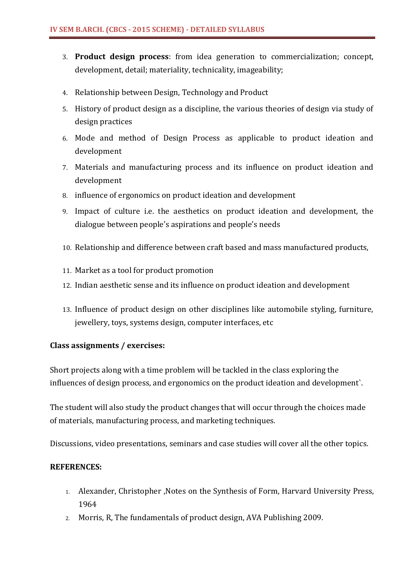- 3. **Product design process**: from idea generation to commercialization; concept, development, detail; materiality, technicality, imageability;
- 4. Relationship between Design, Technology and Product
- 5. History of product design as a discipline, the various theories of design via study of design practices
- 6. Mode and method of Design Process as applicable to product ideation and development
- 7. Materials and manufacturing process and its influence on product ideation and development
- 8. influence of ergonomics on product ideation and development
- 9. Impact of culture i.e. the aesthetics on product ideation and development, the dialogue between people's aspirations and people's needs
- 10. Relationship and difference between craft based and mass manufactured products,
- 11. Market as a tool for product promotion
- 12. Indian aesthetic sense and its influence on product ideation and development
- 13. Influence of product design on other disciplines like automobile styling, furniture, jewellery, toys, systems design, computer interfaces, etc

## **Class assignments / exercises:**

Short projects along with a time problem will be tackled in the class exploring the influences of design process, and ergonomics on the product ideation and development`.

The student will also study the product changes that will occur through the choices made of materials, manufacturing process, and marketing techniques.

Discussions, video presentations, seminars and case studies will cover all the other topics.

- 1. Alexander, Christopher ,Notes on the Synthesis of Form, Harvard University Press, 1964
- 2. Morris, R, The fundamentals of product design, AVA Publishing 2009.